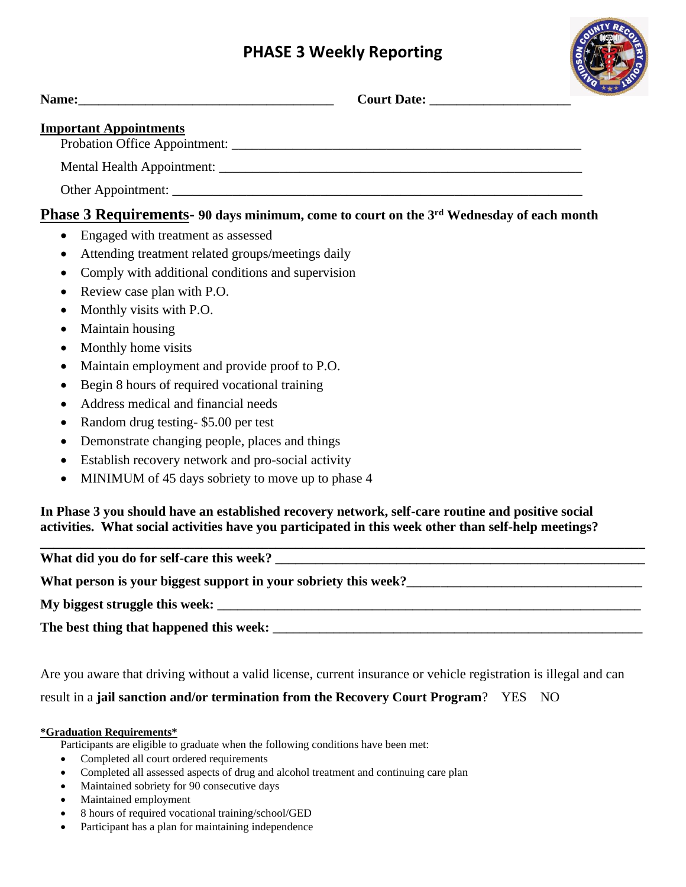## **PHASE 3 Weekly Reporting**



| Name: Name and the second contract of the second contract of the second contract of the second contract of the second contract of the second contract of the second contract of the second contract of the second contract of | Court Date: New York Date:                                                                                                                                                                                | 大大大 |
|-------------------------------------------------------------------------------------------------------------------------------------------------------------------------------------------------------------------------------|-----------------------------------------------------------------------------------------------------------------------------------------------------------------------------------------------------------|-----|
| <b>Important Appointments</b>                                                                                                                                                                                                 |                                                                                                                                                                                                           |     |
|                                                                                                                                                                                                                               |                                                                                                                                                                                                           |     |
|                                                                                                                                                                                                                               |                                                                                                                                                                                                           |     |
|                                                                                                                                                                                                                               |                                                                                                                                                                                                           |     |
|                                                                                                                                                                                                                               | Phase 3 Requirements- 90 days minimum, come to court on the 3rd Wednesday of each month                                                                                                                   |     |
| Engaged with treatment as assessed<br>$\bullet$                                                                                                                                                                               |                                                                                                                                                                                                           |     |
| Attending treatment related groups/meetings daily<br>$\bullet$                                                                                                                                                                |                                                                                                                                                                                                           |     |
| Comply with additional conditions and supervision<br>$\bullet$                                                                                                                                                                |                                                                                                                                                                                                           |     |
| Review case plan with P.O.<br>$\bullet$                                                                                                                                                                                       |                                                                                                                                                                                                           |     |
| Monthly visits with P.O.<br>$\bullet$                                                                                                                                                                                         |                                                                                                                                                                                                           |     |
| Maintain housing<br>$\bullet$                                                                                                                                                                                                 |                                                                                                                                                                                                           |     |
| Monthly home visits<br>$\bullet$                                                                                                                                                                                              |                                                                                                                                                                                                           |     |
| Maintain employment and provide proof to P.O.<br>$\bullet$                                                                                                                                                                    |                                                                                                                                                                                                           |     |
| Begin 8 hours of required vocational training<br>$\bullet$                                                                                                                                                                    |                                                                                                                                                                                                           |     |
| Address medical and financial needs                                                                                                                                                                                           |                                                                                                                                                                                                           |     |
| Random drug testing-\$5.00 per test<br>$\bullet$                                                                                                                                                                              |                                                                                                                                                                                                           |     |
| Demonstrate changing people, places and things<br>$\bullet$                                                                                                                                                                   |                                                                                                                                                                                                           |     |
| Establish recovery network and pro-social activity<br>$\bullet$                                                                                                                                                               |                                                                                                                                                                                                           |     |
| MINIMUM of 45 days sobriety to move up to phase 4<br>$\bullet$                                                                                                                                                                |                                                                                                                                                                                                           |     |
|                                                                                                                                                                                                                               | In Phase 3 you should have an established recovery network, self-care routine and positive social<br>activities. What social activities have you participated in this week other than self-help meetings? |     |
|                                                                                                                                                                                                                               |                                                                                                                                                                                                           |     |
|                                                                                                                                                                                                                               | What person is your biggest support in your sobriety this week?                                                                                                                                           |     |

**My biggest struggle this week: \_\_\_\_\_\_\_\_\_\_\_\_\_\_\_\_\_\_\_\_\_\_\_\_\_\_\_\_\_\_\_\_\_\_\_\_\_\_\_\_\_\_\_\_\_\_\_\_\_\_\_\_\_\_\_\_\_\_\_\_\_\_\_**

**The best thing that happened this week: \_\_\_\_\_\_\_\_\_\_\_\_\_\_\_\_\_\_\_\_\_\_\_\_\_\_\_\_\_\_\_\_\_\_\_\_\_\_\_\_\_\_\_\_\_\_\_\_\_\_\_\_\_\_\_**

Are you aware that driving without a valid license, current insurance or vehicle registration is illegal and can result in a **jail sanction and/or termination from the Recovery Court Program**? YES NO

## **\*Graduation Requirements\***

Participants are eligible to graduate when the following conditions have been met:

- Completed all court ordered requirements
- Completed all assessed aspects of drug and alcohol treatment and continuing care plan
- Maintained sobriety for 90 consecutive days
- Maintained employment
- 8 hours of required vocational training/school/GED
- Participant has a plan for maintaining independence